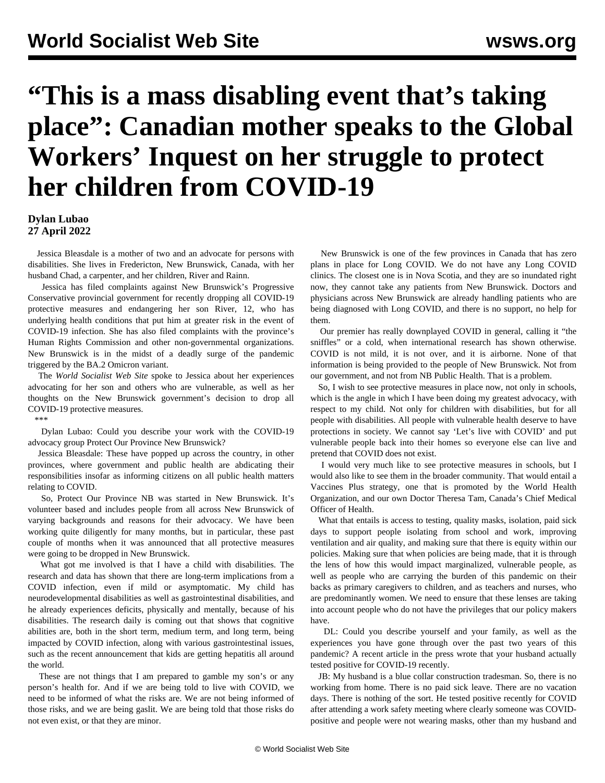## **"This is a mass disabling event that's taking place": Canadian mother speaks to the Global Workers' Inquest on her struggle to protect her children from COVID-19**

**Dylan Lubao 27 April 2022**

 Jessica Bleasdale is a mother of two and an advocate for persons with disabilities. She lives in Fredericton, New Brunswick, Canada, with her husband Chad, a carpenter, and her children, River and Rainn.

 Jessica has filed complaints against New Brunswick's Progressive Conservative provincial government for recently dropping all COVID-19 protective measures and endangering her son River, 12, who has underlying health conditions that put him at greater risk in the event of COVID-19 infection. She has also filed complaints with the province's Human Rights Commission and other non-governmental organizations. New Brunswick is in the midst of a deadly surge of the pandemic triggered by the BA.2 Omicron variant.

 The *World Socialist Web Site* spoke to Jessica about her experiences advocating for her son and others who are vulnerable, as well as her thoughts on the New Brunswick government's decision to drop all COVID-19 protective measures.

\*\*\*

 Dylan Lubao: Could you describe your work with the COVID-19 advocacy group Protect Our Province New Brunswick?

 Jessica Bleasdale: These have popped up across the country, in other provinces, where government and public health are abdicating their responsibilities insofar as informing citizens on all public health matters relating to COVID.

 So, Protect Our Province NB was started in New Brunswick. It's volunteer based and includes people from all across New Brunswick of varying backgrounds and reasons for their advocacy. We have been working quite diligently for many months, but in particular, these past couple of months when it was announced that all protective measures were going to be dropped in New Brunswick.

 What got me involved is that I have a child with disabilities. The research and data has shown that there are long-term implications from a COVID infection, even if mild or asymptomatic. My child has neurodevelopmental disabilities as well as gastrointestinal disabilities, and he already experiences deficits, physically and mentally, because of his disabilities. The research daily is coming out that shows that cognitive abilities are, both in the short term, medium term, and long term, being impacted by COVID infection, along with various gastrointestinal issues, such as the recent announcement that kids are getting hepatitis all around the world.

 These are not things that I am prepared to gamble my son's or any person's health for. And if we are being told to live with COVID, we need to be informed of what the risks are. We are not being informed of those risks, and we are being gaslit. We are being told that those risks do not even exist, or that they are minor.

 New Brunswick is one of the few provinces in Canada that has zero plans in place for Long COVID. We do not have any Long COVID clinics. The closest one is in Nova Scotia, and they are so inundated right now, they cannot take any patients from New Brunswick. Doctors and physicians across New Brunswick are already handling patients who are being diagnosed with Long COVID, and there is no support, no help for them.

 Our premier has really downplayed COVID in general, calling it "the sniffles" or a cold, when international research has shown otherwise. COVID is not mild, it is not over, and it is airborne. None of that information is being provided to the people of New Brunswick. Not from our government, and not from NB Public Health. That is a problem.

 So, I wish to see protective measures in place now, not only in schools, which is the angle in which I have been doing my greatest advocacy, with respect to my child. Not only for children with disabilities, but for all people with disabilities. All people with vulnerable health deserve to have protections in society. We cannot say 'Let's live with COVID' and put vulnerable people back into their homes so everyone else can live and pretend that COVID does not exist.

 I would very much like to see protective measures in schools, but I would also like to see them in the broader community. That would entail a Vaccines Plus strategy, one that is promoted by the World Health Organization, and our own Doctor Theresa Tam, Canada's Chief Medical Officer of Health.

 What that entails is access to testing, quality masks, isolation, paid sick days to support people isolating from school and work, improving ventilation and air quality, and making sure that there is equity within our policies. Making sure that when policies are being made, that it is through the lens of how this would impact marginalized, vulnerable people, as well as people who are carrying the burden of this pandemic on their backs as primary caregivers to children, and as teachers and nurses, who are predominantly women. We need to ensure that these lenses are taking into account people who do not have the privileges that our policy makers have.

 DL: Could you describe yourself and your family, as well as the experiences you have gone through over the past two years of this pandemic? A recent article in the press wrote that your husband actually tested positive for COVID-19 recently.

 JB: My husband is a blue collar construction tradesman. So, there is no working from home. There is no paid sick leave. There are no vacation days. There is nothing of the sort. He tested positive recently for COVID after attending a work safety meeting where clearly someone was COVIDpositive and people were not wearing masks, other than my husband and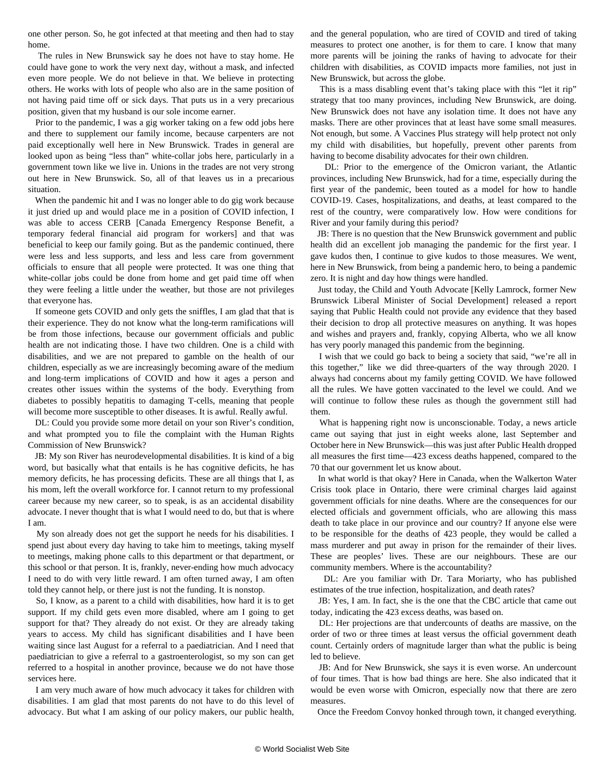one other person. So, he got infected at that meeting and then had to stay home.

 The rules in New Brunswick say he does not have to stay home. He could have gone to work the very next day, without a mask, and infected even more people. We do not believe in that. We believe in protecting others. He works with lots of people who also are in the same position of not having paid time off or sick days. That puts us in a very precarious position, given that my husband is our sole income earner.

 Prior to the pandemic, I was a gig worker taking on a few odd jobs here and there to supplement our family income, because carpenters are not paid exceptionally well here in New Brunswick. Trades in general are looked upon as being "less than" white-collar jobs here, particularly in a government town like we live in. Unions in the trades are not very strong out here in New Brunswick. So, all of that leaves us in a precarious situation.

 When the pandemic hit and I was no longer able to do gig work because it just dried up and would place me in a position of COVID infection, I was able to access CERB [Canada Emergency Response Benefit, a temporary federal financial aid program for workers] and that was beneficial to keep our family going. But as the pandemic continued, there were less and less supports, and less and less care from government officials to ensure that all people were protected. It was one thing that white-collar jobs could be done from home and get paid time off when they were feeling a little under the weather, but those are not privileges that everyone has.

 If someone gets COVID and only gets the sniffles, I am glad that that is their experience. They do not know what the long-term ramifications will be from those infections, because our government officials and public health are not indicating those. I have two children. One is a child with disabilities, and we are not prepared to gamble on the health of our children, especially as we are increasingly becoming aware of the medium and long-term implications of COVID and how it ages a person and creates other issues within the systems of the body. Everything from diabetes to possibly hepatitis to damaging T-cells, meaning that people will become more susceptible to other diseases. It is awful. Really awful.

 DL: Could you provide some more detail on your son River's condition, and what prompted you to file the complaint with the Human Rights Commission of New Brunswick?

 JB: My son River has neurodevelopmental disabilities. It is kind of a big word, but basically what that entails is he has cognitive deficits, he has memory deficits, he has processing deficits. These are all things that I, as his mom, left the overall workforce for. I cannot return to my professional career because my new career, so to speak, is as an accidental disability advocate. I never thought that is what I would need to do, but that is where I am.

 My son already does not get the support he needs for his disabilities. I spend just about every day having to take him to meetings, taking myself to meetings, making phone calls to this department or that department, or this school or that person. It is, frankly, never-ending how much advocacy I need to do with very little reward. I am often turned away, I am often told they cannot help, or there just is not the funding. It is nonstop.

 So, I know, as a parent to a child with disabilities, how hard it is to get support. If my child gets even more disabled, where am I going to get support for that? They already do not exist. Or they are already taking years to access. My child has significant disabilities and I have been waiting since last August for a referral to a paediatrician. And I need that paediatrician to give a referral to a gastroenterologist, so my son can get referred to a hospital in another province, because we do not have those services here.

 I am very much aware of how much advocacy it takes for children with disabilities. I am glad that most parents do not have to do this level of advocacy. But what I am asking of our policy makers, our public health,

and the general population, who are tired of COVID and tired of taking measures to protect one another, is for them to care. I know that many more parents will be joining the ranks of having to advocate for their children with disabilities, as COVID impacts more families, not just in New Brunswick, but across the globe.

 This is a mass disabling event that's taking place with this "let it rip" strategy that too many provinces, including New Brunswick, are doing. New Brunswick does not have any isolation time. It does not have any masks. There are other provinces that at least have some small measures. Not enough, but some. A Vaccines Plus strategy will help protect not only my child with disabilities, but hopefully, prevent other parents from having to become disability advocates for their own children.

 DL: Prior to the emergence of the Omicron variant, the Atlantic provinces, including New Brunswick, had for a time, especially during the first year of the pandemic, been touted as a model for how to handle COVID-19. Cases, hospitalizations, and deaths, at least compared to the rest of the country, were comparatively low. How were conditions for River and your family during this period?

 JB: There is no question that the New Brunswick government and public health did an excellent job managing the pandemic for the first year. I gave kudos then, I continue to give kudos to those measures. We went, here in New Brunswick, from being a pandemic hero, to being a pandemic zero. It is night and day how things were handled.

 Just today, the Child and Youth Advocate [Kelly Lamrock, former New Brunswick Liberal Minister of Social Development] released a report saying that Public Health could not provide any evidence that they based their decision to drop all protective measures on anything. It was hopes and wishes and prayers and, frankly, copying Alberta, who we all know has very poorly managed this pandemic from the beginning.

 I wish that we could go back to being a society that said, "we're all in this together," like we did three-quarters of the way through 2020. I always had concerns about my family getting COVID. We have followed all the rules. We have gotten vaccinated to the level we could. And we will continue to follow these rules as though the government still had them.

 What is happening right now is unconscionable. Today, a news article came out saying that just in eight weeks alone, last September and October here in New Brunswick—this was just after Public Health dropped all measures the first time—423 excess deaths happened, compared to the 70 that our government let us know about.

 In what world is that okay? Here in Canada, when the Walkerton Water Crisis took place in Ontario, there were criminal charges laid against government officials for nine deaths. Where are the consequences for our elected officials and government officials, who are allowing this mass death to take place in our province and our country? If anyone else were to be responsible for the deaths of 423 people, they would be called a mass murderer and put away in prison for the remainder of their lives. These are peoples' lives. These are our neighbours. These are our community members. Where is the accountability?

 DL: Are you familiar with Dr. Tara Moriarty, who has published estimates of the true infection, hospitalization, and death rates?

 JB: Yes, I am. In fact, she is the one that the CBC article that came out today, indicating the 423 excess deaths, was based on.

 DL: Her projections are that undercounts of deaths are massive, on the order of two or three times at least versus the official government death count. Certainly orders of magnitude larger than what the public is being led to believe.

 JB: And for New Brunswick, she says it is even worse. An undercount of four times. That is how bad things are here. She also indicated that it would be even worse with Omicron, especially now that there are zero measures.

Once the Freedom Convoy honked through town, it changed everything.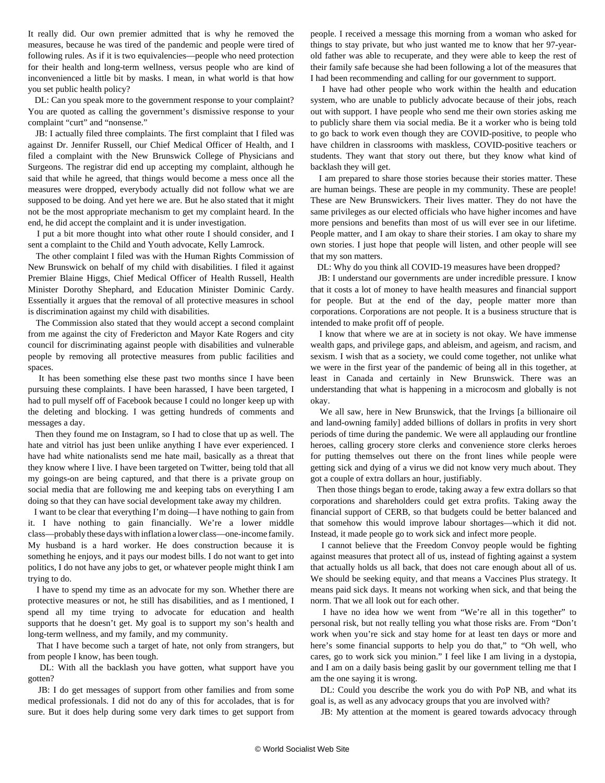It really did. Our own premier admitted that is why he removed the measures, because he was tired of the pandemic and people were tired of following rules. As if it is two equivalencies—people who need protection for their health and long-term wellness, versus people who are kind of inconvenienced a little bit by masks. I mean, in what world is that how you set public health policy?

 DL: Can you speak more to the government response to your complaint? You are quoted as calling the government's dismissive response to your complaint "curt" and "nonsense."

 JB: I actually filed three complaints. The first complaint that I filed was against Dr. Jennifer Russell, our Chief Medical Officer of Health, and I filed a complaint with the New Brunswick College of Physicians and Surgeons. The registrar did end up accepting my complaint, although he said that while he agreed, that things would become a mess once all the measures were dropped, everybody actually did not follow what we are supposed to be doing. And yet here we are. But he also stated that it might not be the most appropriate mechanism to get my complaint heard. In the end, he did accept the complaint and it is under investigation.

 I put a bit more thought into what other route I should consider, and I sent a complaint to the Child and Youth advocate, Kelly Lamrock.

 The other complaint I filed was with the Human Rights Commission of New Brunswick on behalf of my child with disabilities. I filed it against Premier Blaine Higgs, Chief Medical Officer of Health Russell, Health Minister Dorothy Shephard, and Education Minister Dominic Cardy. Essentially it argues that the removal of all protective measures in school is discrimination against my child with disabilities.

 The Commission also stated that they would accept a second complaint from me against the city of Fredericton and Mayor Kate Rogers and city council for discriminating against people with disabilities and vulnerable people by removing all protective measures from public facilities and spaces.

 It has been something else these past two months since I have been pursuing these complaints. I have been harassed, I have been targeted, I had to pull myself off of Facebook because I could no longer keep up with the deleting and blocking. I was getting hundreds of comments and messages a day.

 Then they found me on Instagram, so I had to close that up as well. The hate and vitriol has just been unlike anything I have ever experienced. I have had white nationalists send me hate mail, basically as a threat that they know where I live. I have been targeted on Twitter, being told that all my goings-on are being captured, and that there is a private group on social media that are following me and keeping tabs on everything I am doing so that they can have social development take away my children.

 I want to be clear that everything I'm doing—I have nothing to gain from it. I have nothing to gain financially. We're a lower middle class—probably these days with inflation a lower class—one-income family. My husband is a hard worker. He does construction because it is something he enjoys, and it pays our modest bills. I do not want to get into politics, I do not have any jobs to get, or whatever people might think I am trying to do.

 I have to spend my time as an advocate for my son. Whether there are protective measures or not, he still has disabilities, and as I mentioned, I spend all my time trying to advocate for education and health supports that he doesn't get. My goal is to support my son's health and long-term wellness, and my family, and my community.

 That I have become such a target of hate, not only from strangers, but from people I know, has been tough.

 DL: With all the backlash you have gotten, what support have you gotten?

 JB: I do get messages of support from other families and from some medical professionals. I did not do any of this for accolades, that is for sure. But it does help during some very dark times to get support from people. I received a message this morning from a woman who asked for things to stay private, but who just wanted me to know that her 97-yearold father was able to recuperate, and they were able to keep the rest of their family safe because she had been following a lot of the measures that I had been recommending and calling for our government to support.

 I have had other people who work within the health and education system, who are unable to publicly advocate because of their jobs, reach out with support. I have people who send me their own stories asking me to publicly share them via social media. Be it a worker who is being told to go back to work even though they are COVID-positive, to people who have children in classrooms with maskless, COVID-positive teachers or students. They want that story out there, but they know what kind of backlash they will get.

 I am prepared to share those stories because their stories matter. These are human beings. These are people in my community. These are people! These are New Brunswickers. Their lives matter. They do not have the same privileges as our elected officials who have higher incomes and have more pensions and benefits than most of us will ever see in our lifetime. People matter, and I am okay to share their stories. I am okay to share my own stories. I just hope that people will listen, and other people will see that my son matters.

DL: Why do you think all COVID-19 measures have been dropped?

 JB: I understand our governments are under incredible pressure. I know that it costs a lot of money to have health measures and financial support for people. But at the end of the day, people matter more than corporations. Corporations are not people. It is a business structure that is intended to make profit off of people.

 I know that where we are at in society is not okay. We have immense wealth gaps, and privilege gaps, and ableism, and ageism, and racism, and sexism. I wish that as a society, we could come together, not unlike what we were in the first year of the pandemic of being all in this together, at least in Canada and certainly in New Brunswick. There was an understanding that what is happening in a microcosm and globally is not okay.

 We all saw, here in New Brunswick, that the Irvings [a billionaire oil and land-owning family] added billions of dollars in profits in very short periods of time during the pandemic. We were all applauding our frontline heroes, calling grocery store clerks and convenience store clerks heroes for putting themselves out there on the front lines while people were getting sick and dying of a virus we did not know very much about. They got a couple of extra dollars an hour, justifiably.

 Then those things began to erode, taking away a few extra dollars so that corporations and shareholders could get extra profits. Taking away the financial support of CERB, so that budgets could be better balanced and that somehow this would improve labour shortages—which it did not. Instead, it made people go to work sick and infect more people.

 I cannot believe that the Freedom Convoy people would be fighting against measures that protect all of us, instead of fighting against a system that actually holds us all back, that does not care enough about all of us. We should be seeking equity, and that means a Vaccines Plus strategy. It means paid sick days. It means not working when sick, and that being the norm. That we all look out for each other.

 I have no idea how we went from "We're all in this together" to personal risk, but not really telling you what those risks are. From "Don't work when you're sick and stay home for at least ten days or more and here's some financial supports to help you do that," to "Oh well, who cares, go to work sick you minion." I feel like I am living in a dystopia, and I am on a daily basis being gaslit by our government telling me that I am the one saying it is wrong.

 DL: Could you describe the work you do with PoP NB, and what its goal is, as well as any advocacy groups that you are involved with?

JB: My attention at the moment is geared towards advocacy through